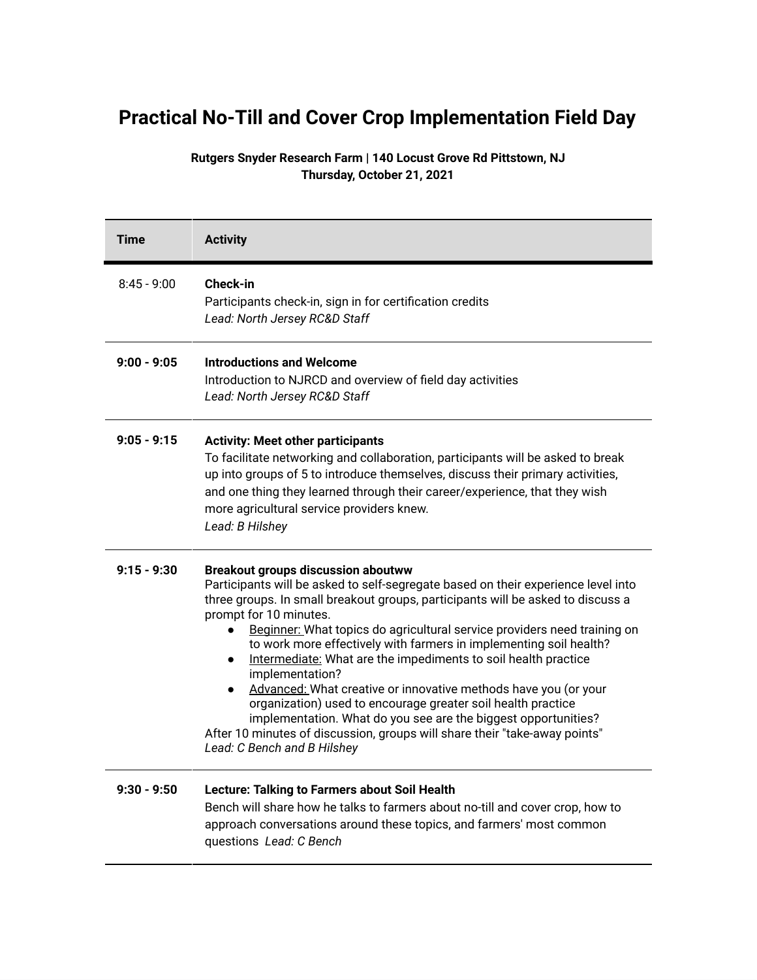## **Practical No-Till and Cover Crop Implementation Field Day**

## **Rutgers Snyder Research Farm | 140 Locust Grove Rd Pittstown, NJ Thursday, October 21, 2021**

| Time          | <b>Activity</b>                                                                                                                                                                                                                                                                                                                                                                                                                                                                                                                                                                                                                                                                                                                                                                                                                |
|---------------|--------------------------------------------------------------------------------------------------------------------------------------------------------------------------------------------------------------------------------------------------------------------------------------------------------------------------------------------------------------------------------------------------------------------------------------------------------------------------------------------------------------------------------------------------------------------------------------------------------------------------------------------------------------------------------------------------------------------------------------------------------------------------------------------------------------------------------|
| $8:45 - 9:00$ | <b>Check-in</b><br>Participants check-in, sign in for certification credits<br>Lead: North Jersey RC&D Staff                                                                                                                                                                                                                                                                                                                                                                                                                                                                                                                                                                                                                                                                                                                   |
| $9:00 - 9:05$ | <b>Introductions and Welcome</b><br>Introduction to NJRCD and overview of field day activities<br>Lead: North Jersey RC&D Staff                                                                                                                                                                                                                                                                                                                                                                                                                                                                                                                                                                                                                                                                                                |
| $9:05 - 9:15$ | <b>Activity: Meet other participants</b><br>To facilitate networking and collaboration, participants will be asked to break<br>up into groups of 5 to introduce themselves, discuss their primary activities,<br>and one thing they learned through their career/experience, that they wish<br>more agricultural service providers knew.<br>Lead: B Hilshey                                                                                                                                                                                                                                                                                                                                                                                                                                                                    |
| $9:15 - 9:30$ | <b>Breakout groups discussion aboutww</b><br>Participants will be asked to self-segregate based on their experience level into<br>three groups. In small breakout groups, participants will be asked to discuss a<br>prompt for 10 minutes.<br>Beginner: What topics do agricultural service providers need training on<br>to work more effectively with farmers in implementing soil health?<br>Intermediate: What are the impediments to soil health practice<br>$\bullet$<br>implementation?<br>Advanced: What creative or innovative methods have you (or your<br>$\bullet$<br>organization) used to encourage greater soil health practice<br>implementation. What do you see are the biggest opportunities?<br>After 10 minutes of discussion, groups will share their "take-away points"<br>Lead: C Bench and B Hilshey |
| $9:30 - 9:50$ | Lecture: Talking to Farmers about Soil Health<br>Bench will share how he talks to farmers about no-till and cover crop, how to<br>approach conversations around these topics, and farmers' most common<br>questions Lead: C Bench                                                                                                                                                                                                                                                                                                                                                                                                                                                                                                                                                                                              |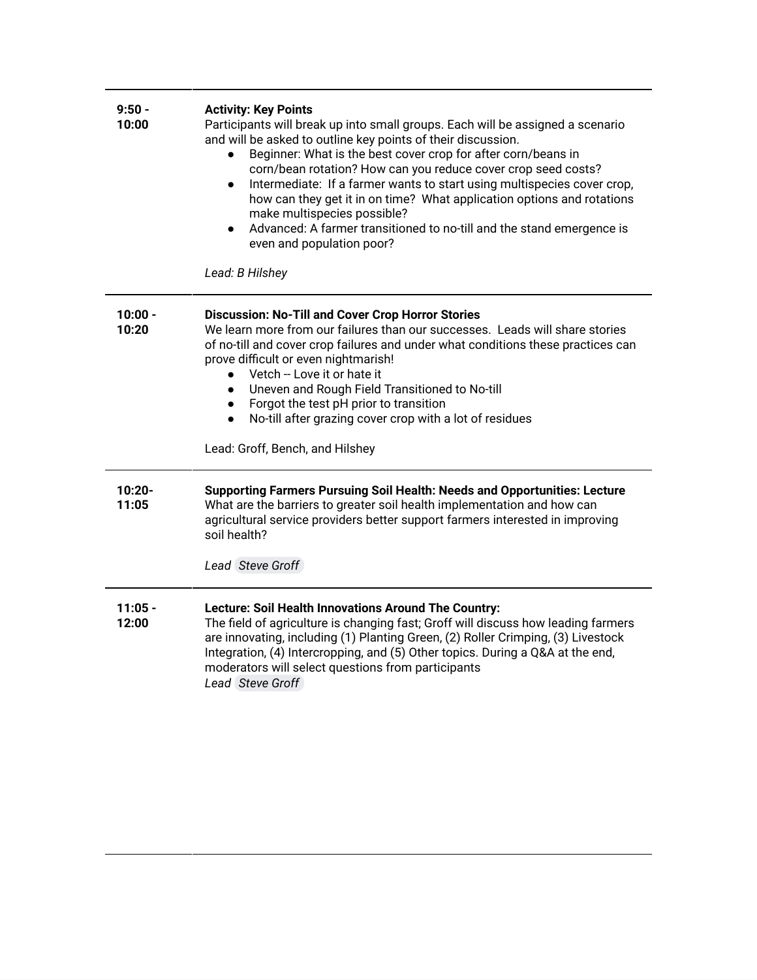| $9:50 -$<br>10:00  | <b>Activity: Key Points</b><br>Participants will break up into small groups. Each will be assigned a scenario<br>and will be asked to outline key points of their discussion.<br>Beginner: What is the best cover crop for after corn/beans in<br>$\bullet$<br>corn/bean rotation? How can you reduce cover crop seed costs?<br>Intermediate: If a farmer wants to start using multispecies cover crop,<br>$\bullet$<br>how can they get it in on time? What application options and rotations<br>make multispecies possible?<br>Advanced: A farmer transitioned to no-till and the stand emergence is<br>$\bullet$<br>even and population poor?<br>Lead: B Hilshey |
|--------------------|---------------------------------------------------------------------------------------------------------------------------------------------------------------------------------------------------------------------------------------------------------------------------------------------------------------------------------------------------------------------------------------------------------------------------------------------------------------------------------------------------------------------------------------------------------------------------------------------------------------------------------------------------------------------|
| $10:00 -$<br>10:20 | <b>Discussion: No-Till and Cover Crop Horror Stories</b><br>We learn more from our failures than our successes. Leads will share stories<br>of no-till and cover crop failures and under what conditions these practices can<br>prove difficult or even nightmarish!<br>Vetch -- Love it or hate it<br>$\bullet$<br>Uneven and Rough Field Transitioned to No-till<br>$\bullet$<br>Forgot the test pH prior to transition<br>$\bullet$<br>No-till after grazing cover crop with a lot of residues<br>$\bullet$<br>Lead: Groff, Bench, and Hilshey                                                                                                                   |
| $10:20 -$<br>11:05 | Supporting Farmers Pursuing Soil Health: Needs and Opportunities: Lecture<br>What are the barriers to greater soil health implementation and how can<br>agricultural service providers better support farmers interested in improving<br>soil health?<br>Lead Steve Groff                                                                                                                                                                                                                                                                                                                                                                                           |
| $11:05 -$<br>12:00 | Lecture: Soil Health Innovations Around The Country:<br>The field of agriculture is changing fast; Groff will discuss how leading farmers<br>are innovating, including (1) Planting Green, (2) Roller Crimping, (3) Livestock<br>Integration, (4) Intercropping, and (5) Other topics. During a Q&A at the end,<br>moderators will select questions from participants<br>Lead Steve Groff                                                                                                                                                                                                                                                                           |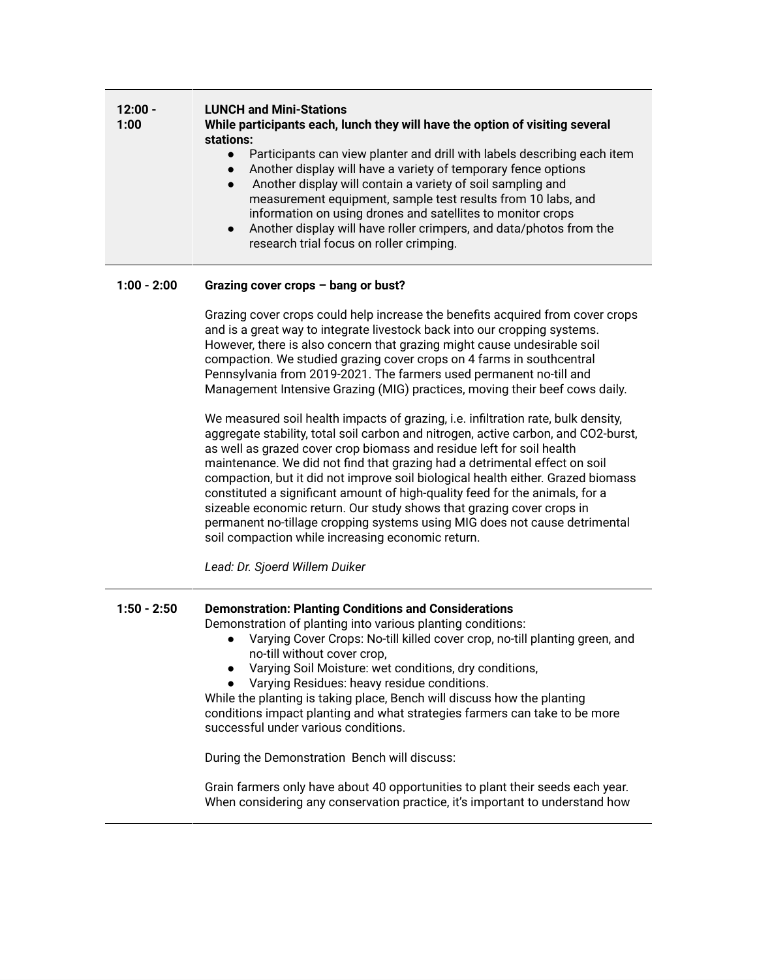| $12:00 -$<br>1:00 | <b>LUNCH and Mini-Stations</b><br>While participants each, lunch they will have the option of visiting several<br>stations:<br>Participants can view planter and drill with labels describing each item<br>Another display will have a variety of temporary fence options<br>Another display will contain a variety of soil sampling and<br>measurement equipment, sample test results from 10 labs, and<br>information on using drones and satellites to monitor crops<br>• Another display will have roller crimpers, and data/photos from the<br>research trial focus on roller crimping. |
|-------------------|----------------------------------------------------------------------------------------------------------------------------------------------------------------------------------------------------------------------------------------------------------------------------------------------------------------------------------------------------------------------------------------------------------------------------------------------------------------------------------------------------------------------------------------------------------------------------------------------|
|                   |                                                                                                                                                                                                                                                                                                                                                                                                                                                                                                                                                                                              |

## **1:00 - 2:00 Grazing cover crops – bang or bust?**

Grazing cover crops could help increase the benefits acquired from cover crops and is a great way to integrate livestock back into our cropping systems. However, there is also concern that grazing might cause undesirable soil compaction. We studied grazing cover crops on 4 farms in southcentral Pennsylvania from 2019-2021. The farmers used permanent no-till and Management Intensive Grazing (MIG) practices, moving their beef cows daily.

We measured soil health impacts of grazing, i.e. infiltration rate, bulk density, aggregate stability, total soil carbon and nitrogen, active carbon, and CO2-burst, as well as grazed cover crop biomass and residue left for soil health maintenance. We did not find that grazing had a detrimental effect on soil compaction, but it did not improve soil biological health either. Grazed biomass constituted a significant amount of high-quality feed for the animals, for a sizeable economic return. Our study shows that grazing cover crops in permanent no-tillage cropping systems using MIG does not cause detrimental soil compaction while increasing economic return.

*Lead: Dr. Sjoerd Willem Duiker*

| $1:50 - 2:50$ | <b>Demonstration: Planting Conditions and Considerations</b><br>Demonstration of planting into various planting conditions:<br>Varying Cover Crops: No-till killed cover crop, no-till planting green, and<br>no-till without cover crop,<br>• Varying Soil Moisture: wet conditions, dry conditions,<br>• Varying Residues: heavy residue conditions.<br>While the planting is taking place, Bench will discuss how the planting<br>conditions impact planting and what strategies farmers can take to be more<br>successful under various conditions. |
|---------------|---------------------------------------------------------------------------------------------------------------------------------------------------------------------------------------------------------------------------------------------------------------------------------------------------------------------------------------------------------------------------------------------------------------------------------------------------------------------------------------------------------------------------------------------------------|
|               | During the Demonstration Bench will discuss:                                                                                                                                                                                                                                                                                                                                                                                                                                                                                                            |
|               | Grain farmers only have about 40 opportunities to plant their seeds each year.<br>When considering any conservation practice, it's important to understand how                                                                                                                                                                                                                                                                                                                                                                                          |